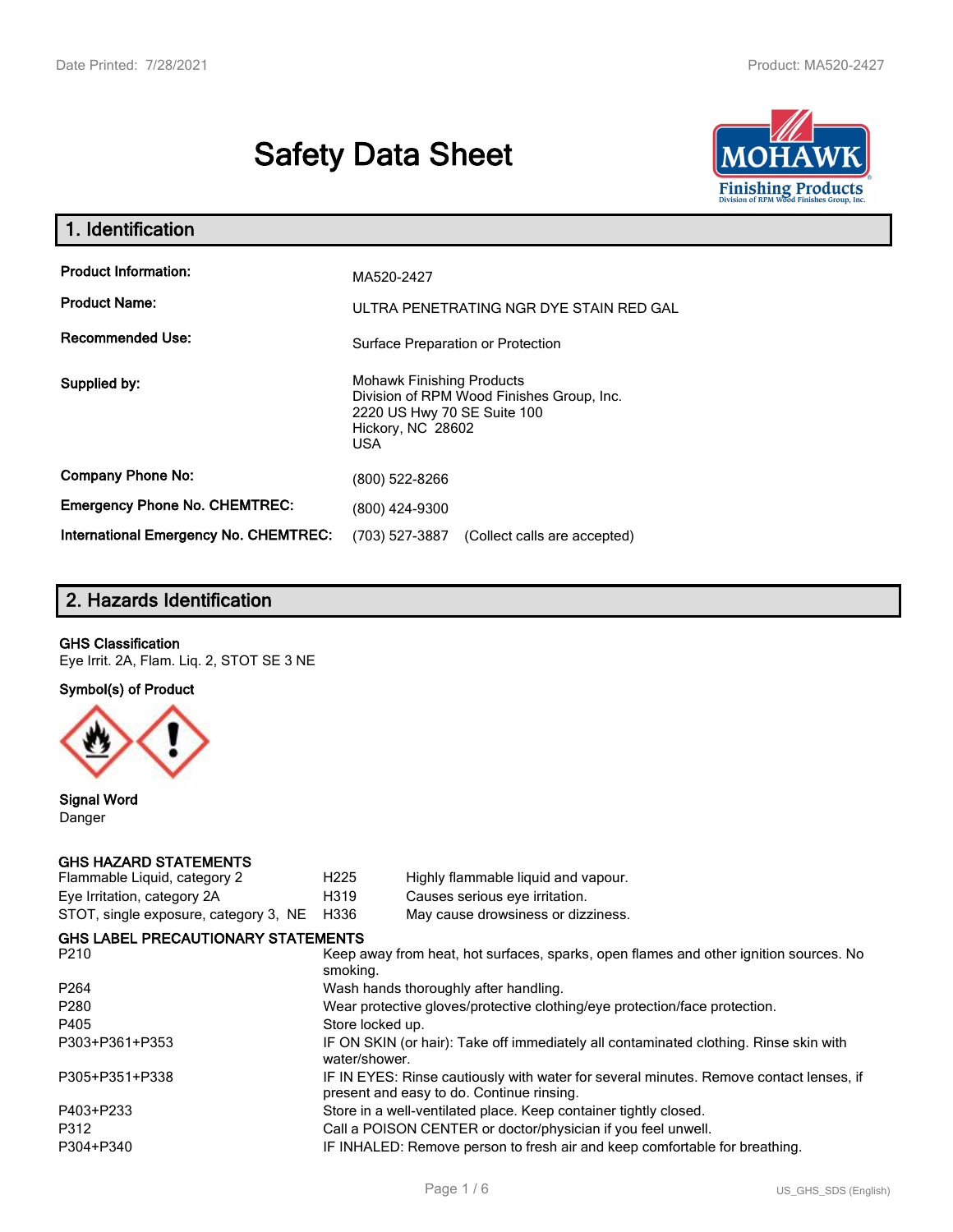# **Safety Data Sheet**



| 1. Identification                                   |                                                                                                                                                 |  |
|-----------------------------------------------------|-------------------------------------------------------------------------------------------------------------------------------------------------|--|
| <b>Product Information:</b><br><b>Product Name:</b> | MA520-2427<br>ULTRA PENETRATING NGR DYE STAIN RED GAL                                                                                           |  |
| <b>Recommended Use:</b>                             | Surface Preparation or Protection                                                                                                               |  |
| Supplied by:                                        | <b>Mohawk Finishing Products</b><br>Division of RPM Wood Finishes Group, Inc.<br>2220 US Hwy 70 SE Suite 100<br>Hickory, NC 28602<br><b>USA</b> |  |
| <b>Company Phone No:</b>                            | (800) 522-8266                                                                                                                                  |  |
| <b>Emergency Phone No. CHEMTREC:</b>                | (800) 424-9300                                                                                                                                  |  |
| <b>International Emergency No. CHEMTREC:</b>        | (703) 527-3887<br>(Collect calls are accepted)                                                                                                  |  |

# **2. Hazards Identification**

#### **GHS Classification**

Eye Irrit. 2A, Flam. Liq. 2, STOT SE 3 NE

**Symbol(s) of Product**



**Signal Word** Danger

#### **GHS HAZARD STATEMENTS**

| H <sub>225</sub> | Highly flammable liquid and vapour.                                                                                                 |
|------------------|-------------------------------------------------------------------------------------------------------------------------------------|
| H319             | Causes serious eye irritation.                                                                                                      |
| H336             | May cause drowsiness or dizziness.                                                                                                  |
|                  |                                                                                                                                     |
| smoking.         | Keep away from heat, hot surfaces, sparks, open flames and other ignition sources. No                                               |
|                  | Wash hands thoroughly after handling.                                                                                               |
|                  | Wear protective gloves/protective clothing/eye protection/face protection.                                                          |
| Store locked up. |                                                                                                                                     |
| water/shower.    | IF ON SKIN (or hair): Take off immediately all contaminated clothing. Rinse skin with                                               |
|                  | IF IN EYES: Rinse cautiously with water for several minutes. Remove contact lenses, if<br>present and easy to do. Continue rinsing. |
|                  | Store in a well-ventilated place. Keep container tightly closed.                                                                    |
|                  | Call a POISON CENTER or doctor/physician if you feel unwell.                                                                        |
|                  | IF INHALED: Remove person to fresh air and keep comfortable for breathing.                                                          |
|                  | <b>GHS LABEL PRECAUTIONARY STATEMENTS</b>                                                                                           |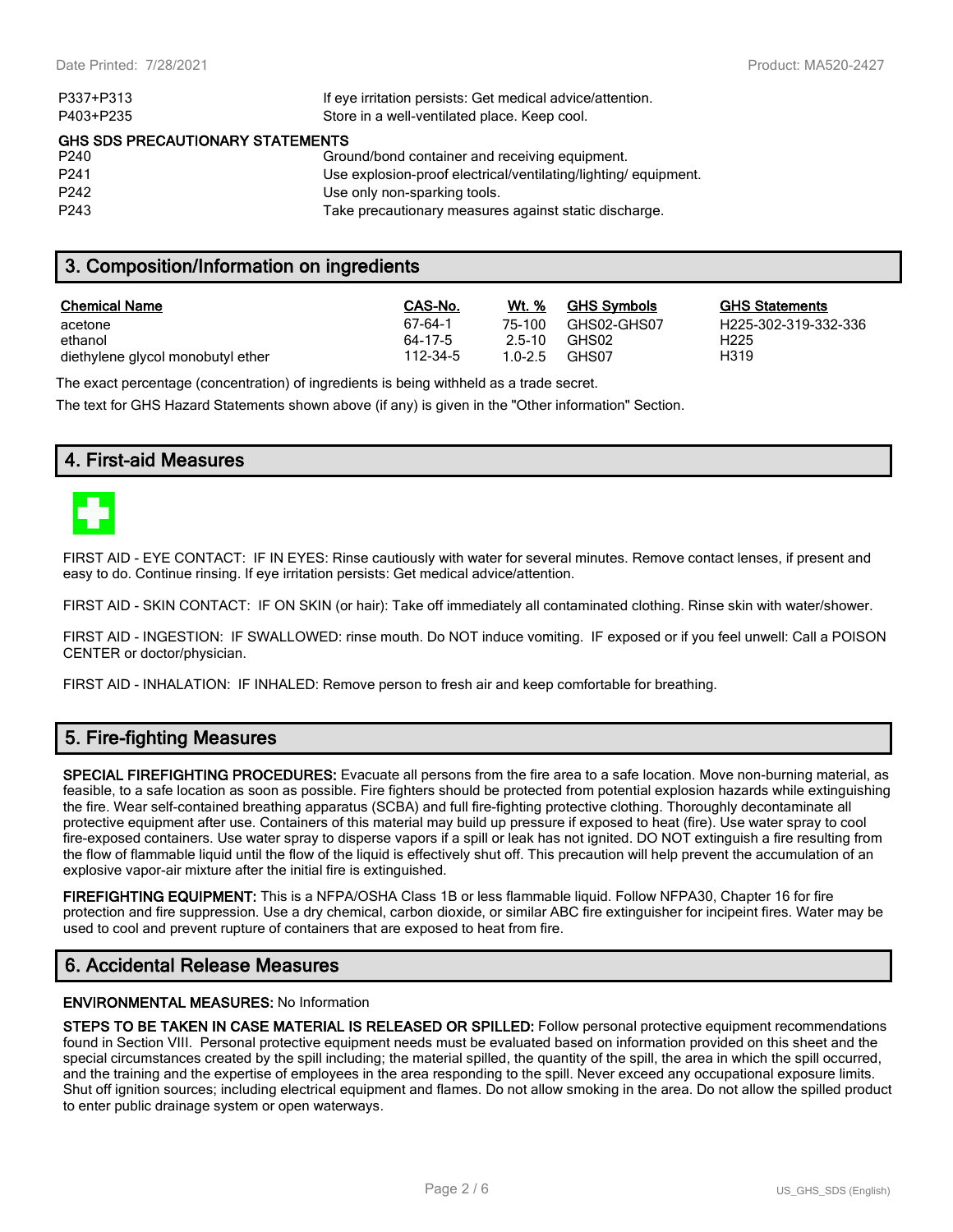| If eye irritation persists: Get medical advice/attention.      |
|----------------------------------------------------------------|
| Store in a well-ventilated place. Keep cool.                   |
| <b>GHS SDS PRECAUTIONARY STATEMENTS</b>                        |
| Ground/bond container and receiving equipment.                 |
| Use explosion-proof electrical/ventilating/lighting/equipment. |
| Use only non-sparking tools.                                   |
| Take precautionary measures against static discharge.          |
|                                                                |

#### **3. Composition/Information on ingredients**

| <b>Chemical Name</b>              | CAS-No.  | <b>Wt.</b> % | <b>GHS Symbols</b> | GHS  |
|-----------------------------------|----------|--------------|--------------------|------|
| acetone                           | 67-64-1  | 75-100       | GHS02-GHS07        | H225 |
| ethanol                           | 64-17-5  | 2.5-10       | GHS02              | H225 |
| diethylene glycol monobutyl ether | 112-34-5 | $1.0 - 2.5$  | GHS07              | H319 |

**GHS Statements** H225-302-319-332-336

The exact percentage (concentration) of ingredients is being withheld as a trade secret.

The text for GHS Hazard Statements shown above (if any) is given in the "Other information" Section.

#### **4. First-aid Measures**



FIRST AID - EYE CONTACT: IF IN EYES: Rinse cautiously with water for several minutes. Remove contact lenses, if present and easy to do. Continue rinsing. If eye irritation persists: Get medical advice/attention.

FIRST AID - SKIN CONTACT: IF ON SKIN (or hair): Take off immediately all contaminated clothing. Rinse skin with water/shower.

FIRST AID - INGESTION: IF SWALLOWED: rinse mouth. Do NOT induce vomiting. IF exposed or if you feel unwell: Call a POISON CENTER or doctor/physician.

FIRST AID - INHALATION: IF INHALED: Remove person to fresh air and keep comfortable for breathing.

# **5. Fire-fighting Measures**

**SPECIAL FIREFIGHTING PROCEDURES:** Evacuate all persons from the fire area to a safe location. Move non-burning material, as feasible, to a safe location as soon as possible. Fire fighters should be protected from potential explosion hazards while extinguishing the fire. Wear self-contained breathing apparatus (SCBA) and full fire-fighting protective clothing. Thoroughly decontaminate all protective equipment after use. Containers of this material may build up pressure if exposed to heat (fire). Use water spray to cool fire-exposed containers. Use water spray to disperse vapors if a spill or leak has not ignited. DO NOT extinguish a fire resulting from the flow of flammable liquid until the flow of the liquid is effectively shut off. This precaution will help prevent the accumulation of an explosive vapor-air mixture after the initial fire is extinguished.

**FIREFIGHTING EQUIPMENT:** This is a NFPA/OSHA Class 1B or less flammable liquid. Follow NFPA30, Chapter 16 for fire protection and fire suppression. Use a dry chemical, carbon dioxide, or similar ABC fire extinguisher for incipeint fires. Water may be used to cool and prevent rupture of containers that are exposed to heat from fire.

## **6. Accidental Release Measures**

#### **ENVIRONMENTAL MEASURES:** No Information

**STEPS TO BE TAKEN IN CASE MATERIAL IS RELEASED OR SPILLED:** Follow personal protective equipment recommendations found in Section VIII. Personal protective equipment needs must be evaluated based on information provided on this sheet and the special circumstances created by the spill including; the material spilled, the quantity of the spill, the area in which the spill occurred, and the training and the expertise of employees in the area responding to the spill. Never exceed any occupational exposure limits. Shut off ignition sources; including electrical equipment and flames. Do not allow smoking in the area. Do not allow the spilled product to enter public drainage system or open waterways.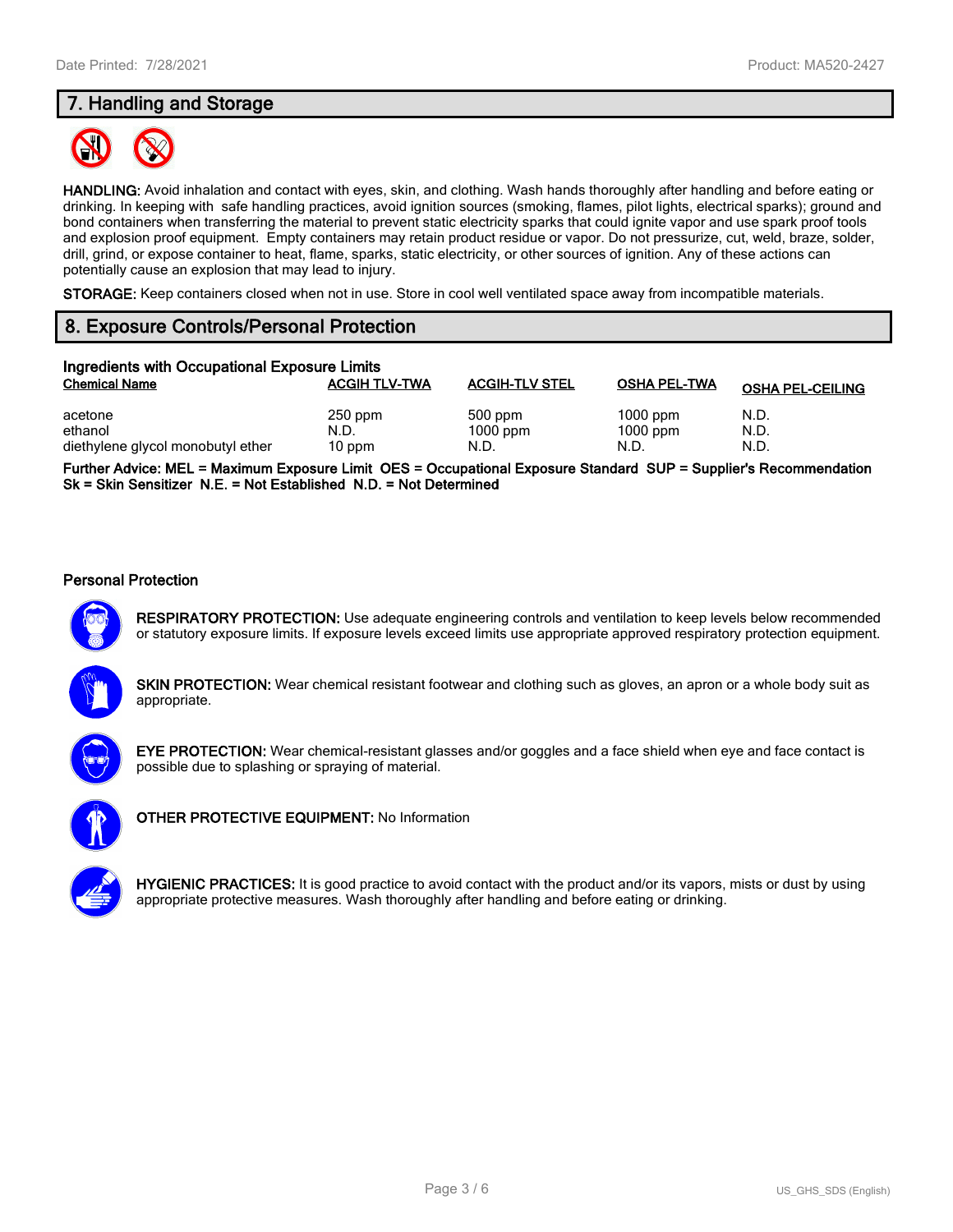# **7. Handling and Storage**



**HANDLING:** Avoid inhalation and contact with eyes, skin, and clothing. Wash hands thoroughly after handling and before eating or drinking. In keeping with safe handling practices, avoid ignition sources (smoking, flames, pilot lights, electrical sparks); ground and bond containers when transferring the material to prevent static electricity sparks that could ignite vapor and use spark proof tools and explosion proof equipment. Empty containers may retain product residue or vapor. Do not pressurize, cut, weld, braze, solder, drill, grind, or expose container to heat, flame, sparks, static electricity, or other sources of ignition. Any of these actions can potentially cause an explosion that may lead to injury.

**STORAGE:** Keep containers closed when not in use. Store in cool well ventilated space away from incompatible materials.

# **8. Exposure Controls/Personal Protection**

| Ingredients with Occupational Exposure Limits |                      |                       |                     |                         |  |  |
|-----------------------------------------------|----------------------|-----------------------|---------------------|-------------------------|--|--|
| <b>Chemical Name</b>                          | <b>ACGIH TLV-TWA</b> | <b>ACGIH-TLV STEL</b> | <b>OSHA PEL-TWA</b> | <b>OSHA PEL-CEILING</b> |  |  |
| acetone                                       | $250$ ppm            | 500 ppm               | $1000$ ppm          | N.D.                    |  |  |
| ethanol                                       | N.D.                 | $1000$ ppm            | $1000$ ppm          | N.D.                    |  |  |
| diethylene glycol monobutyl ether             | 10 ppm               | N.D.                  | N.D.                | N.D.                    |  |  |

**Further Advice: MEL = Maximum Exposure Limit OES = Occupational Exposure Standard SUP = Supplier's Recommendation Sk = Skin Sensitizer N.E. = Not Established N.D. = Not Determined**

#### **Personal Protection**



**RESPIRATORY PROTECTION:** Use adequate engineering controls and ventilation to keep levels below recommended or statutory exposure limits. If exposure levels exceed limits use appropriate approved respiratory protection equipment.

**SKIN PROTECTION:** Wear chemical resistant footwear and clothing such as gloves, an apron or a whole body suit as appropriate.



**EYE PROTECTION:** Wear chemical-resistant glasses and/or goggles and a face shield when eye and face contact is possible due to splashing or spraying of material.



**OTHER PROTECTIVE EQUIPMENT:** No Information

**HYGIENIC PRACTICES:** It is good practice to avoid contact with the product and/or its vapors, mists or dust by using appropriate protective measures. Wash thoroughly after handling and before eating or drinking.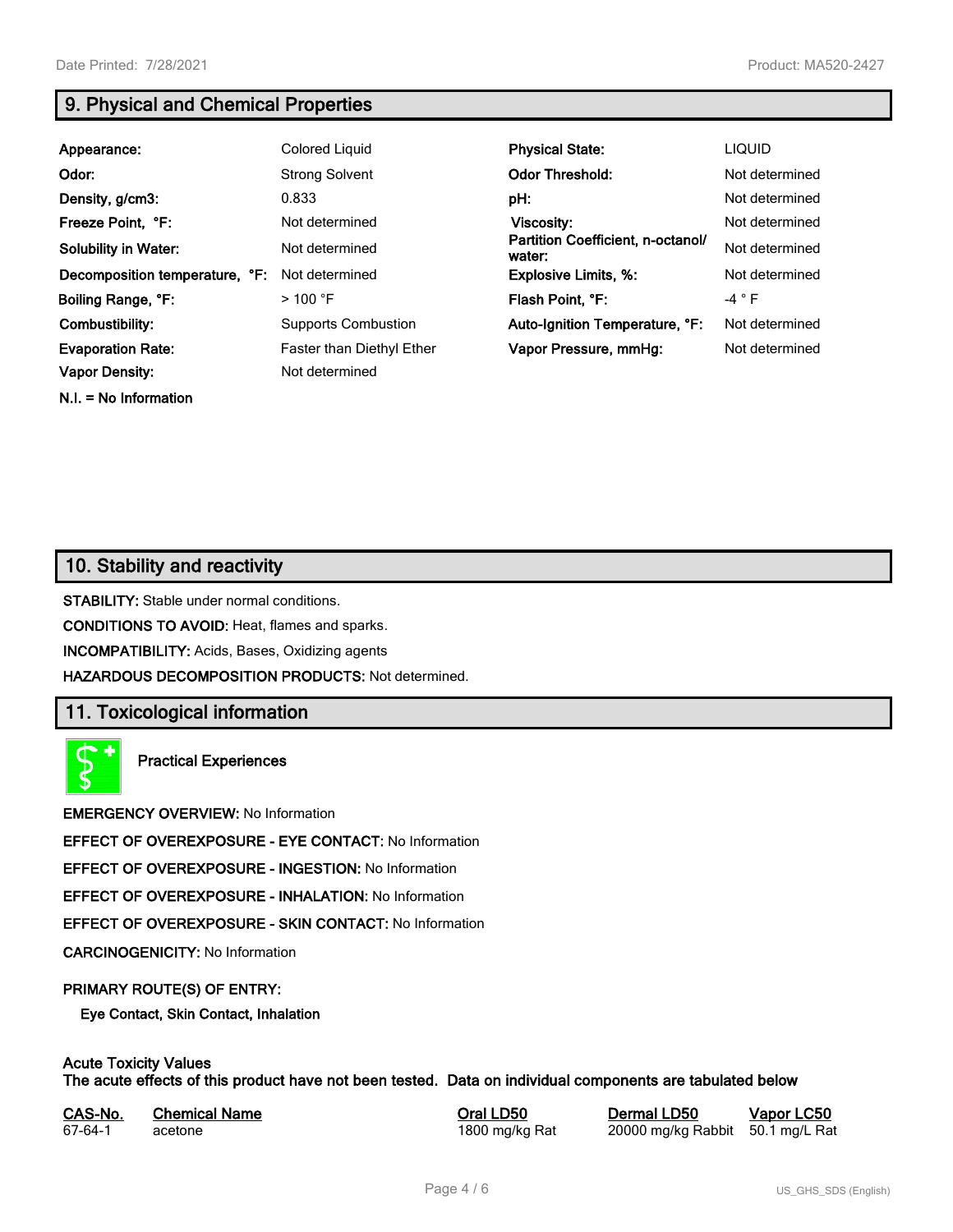**N.I. = No Information**

# **9. Physical and Chemical Properties**

| Appearance:                    | Colored Liquid                   | <b>Physical State:</b>                      | <b>LIQUID</b>  |
|--------------------------------|----------------------------------|---------------------------------------------|----------------|
| Odor:                          | <b>Strong Solvent</b>            | <b>Odor Threshold:</b>                      | Not determined |
| Density, g/cm3:                | 0.833                            | pH:                                         | Not determined |
| Freeze Point, °F:              | Not determined                   | Viscosity:                                  | Not determined |
| <b>Solubility in Water:</b>    | Not determined                   | Partition Coefficient, n-octanol/<br>water: | Not determined |
| Decomposition temperature, °F: | Not determined                   | <b>Explosive Limits, %:</b>                 | Not determined |
| Boiling Range, °F:             | $>$ 100 °F                       | Flash Point, °F:                            | $-4 ° F$       |
| Combustibility:                | <b>Supports Combustion</b>       | Auto-Ignition Temperature, °F:              | Not determined |
| <b>Evaporation Rate:</b>       | <b>Faster than Diethyl Ether</b> | Vapor Pressure, mmHg:                       | Not determined |
| <b>Vapor Density:</b>          | Not determined                   |                                             |                |

# **10. Stability and reactivity**

**STABILITY:** Stable under normal conditions.

**CONDITIONS TO AVOID:** Heat, flames and sparks.

**INCOMPATIBILITY:** Acids, Bases, Oxidizing agents

**HAZARDOUS DECOMPOSITION PRODUCTS:** Not determined.

# **11. Toxicological information**

**Practical Experiences**

**EMERGENCY OVERVIEW:** No Information

**EFFECT OF OVEREXPOSURE - EYE CONTACT:** No Information

**EFFECT OF OVEREXPOSURE - INGESTION:** No Information

**EFFECT OF OVEREXPOSURE - INHALATION:** No Information

**EFFECT OF OVEREXPOSURE - SKIN CONTACT:** No Information

**CARCINOGENICITY:** No Information

#### **PRIMARY ROUTE(S) OF ENTRY:**

**Eye Contact, Skin Contact, Inhalation**

# **Acute Toxicity Values**

**The acute effects of this product have not been tested. Data on individual components are tabulated below**

| CAS-No. | <b>Chemical Name</b> |  |
|---------|----------------------|--|
| 67-64-1 | acetone              |  |

**Casary Chemical Chemical LD50 Chemical LD50 Vapor LC50** 1800 mg/kg Rat 20000 mg/kg Rabbit 50.1 mg/L Rat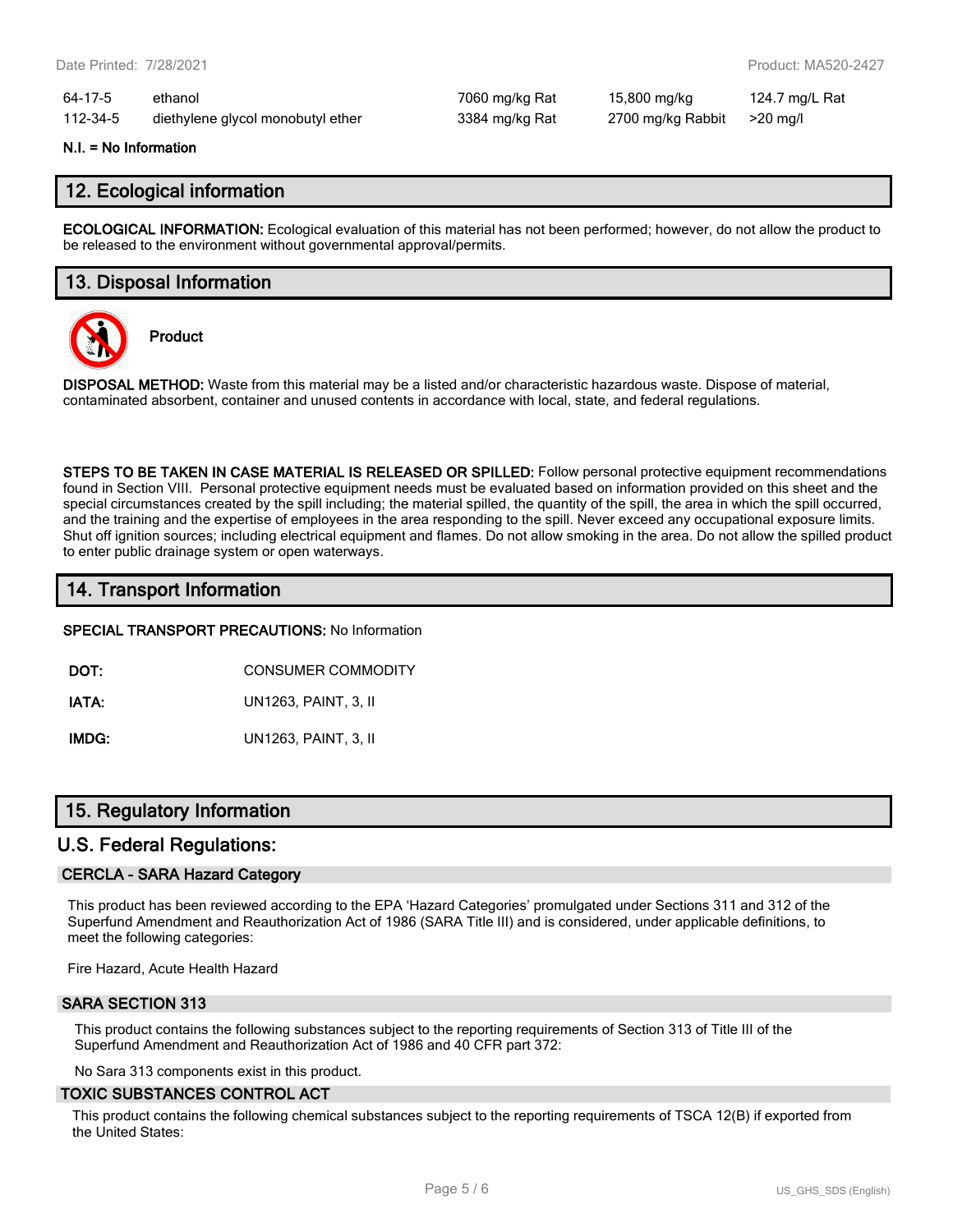| 64-17-5  | ethanol                           |
|----------|-----------------------------------|
| 112-34-5 | diethylene glycol monobutyl ether |

7060 mg/kg Rat 15,800 mg/kg 124.7 mg/L Rat 112-3384 mg/kg Rat 2700 mg/kg Rabbit >20 mg/l

#### **N.I. = No Information**

#### **12. Ecological information**

**ECOLOGICAL INFORMATION:** Ecological evaluation of this material has not been performed; however, do not allow the product to be released to the environment without governmental approval/permits.

#### **13. Disposal Information**



**Product**

**DISPOSAL METHOD:** Waste from this material may be a listed and/or characteristic hazardous waste. Dispose of material, contaminated absorbent, container and unused contents in accordance with local, state, and federal regulations.

**STEPS TO BE TAKEN IN CASE MATERIAL IS RELEASED OR SPILLED:** Follow personal protective equipment recommendations found in Section VIII. Personal protective equipment needs must be evaluated based on information provided on this sheet and the special circumstances created by the spill including; the material spilled, the quantity of the spill, the area in which the spill occurred, and the training and the expertise of employees in the area responding to the spill. Never exceed any occupational exposure limits. Shut off ignition sources; including electrical equipment and flames. Do not allow smoking in the area. Do not allow the spilled product to enter public drainage system or open waterways.

# **14. Transport Information**

**SPECIAL TRANSPORT PRECAUTIONS:** No Information

**DOT:** CONSUMER COMMODITY

**IATA:** UN1263, PAINT, 3, II

**IMDG:** UN1263, PAINT, 3, II

# **15. Regulatory Information**

## **U.S. Federal Regulations:**

#### **CERCLA - SARA Hazard Category**

This product has been reviewed according to the EPA 'Hazard Categories' promulgated under Sections 311 and 312 of the Superfund Amendment and Reauthorization Act of 1986 (SARA Title III) and is considered, under applicable definitions, to meet the following categories:

Fire Hazard, Acute Health Hazard

#### **SARA SECTION 313**

This product contains the following substances subject to the reporting requirements of Section 313 of Title III of the Superfund Amendment and Reauthorization Act of 1986 and 40 CFR part 372:

No Sara 313 components exist in this product.

#### **TOXIC SUBSTANCES CONTROL ACT**

This product contains the following chemical substances subject to the reporting requirements of TSCA 12(B) if exported from the United States: